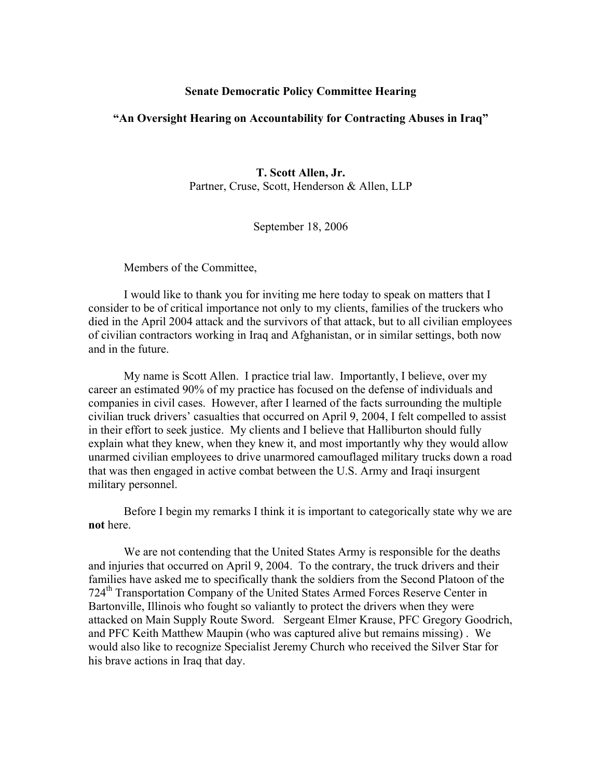## **Senate Democratic Policy Committee Hearing**

## **"An Oversight Hearing on Accountability for Contracting Abuses in Iraq"**

**T. Scott Allen, Jr.**  Partner, Cruse, Scott, Henderson & Allen, LLP

September 18, 2006

Members of the Committee,

 I would like to thank you for inviting me here today to speak on matters that I consider to be of critical importance not only to my clients, families of the truckers who died in the April 2004 attack and the survivors of that attack, but to all civilian employees of civilian contractors working in Iraq and Afghanistan, or in similar settings, both now and in the future.

 My name is Scott Allen. I practice trial law. Importantly, I believe, over my career an estimated 90% of my practice has focused on the defense of individuals and companies in civil cases. However, after I learned of the facts surrounding the multiple civilian truck drivers' casualties that occurred on April 9, 2004, I felt compelled to assist in their effort to seek justice. My clients and I believe that Halliburton should fully explain what they knew, when they knew it, and most importantly why they would allow unarmed civilian employees to drive unarmored camouflaged military trucks down a road that was then engaged in active combat between the U.S. Army and Iraqi insurgent military personnel.

 Before I begin my remarks I think it is important to categorically state why we are **not** here.

 We are not contending that the United States Army is responsible for the deaths and injuries that occurred on April 9, 2004. To the contrary, the truck drivers and their families have asked me to specifically thank the soldiers from the Second Platoon of the 724th Transportation Company of the United States Armed Forces Reserve Center in Bartonville, Illinois who fought so valiantly to protect the drivers when they were attacked on Main Supply Route Sword. Sergeant Elmer Krause, PFC Gregory Goodrich, and PFC Keith Matthew Maupin (who was captured alive but remains missing) . We would also like to recognize Specialist Jeremy Church who received the Silver Star for his brave actions in Iraq that day.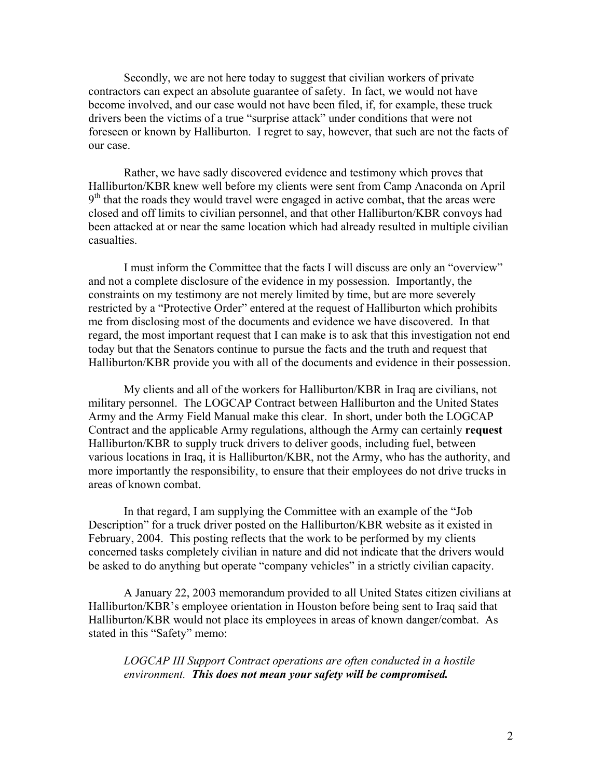Secondly, we are not here today to suggest that civilian workers of private contractors can expect an absolute guarantee of safety. In fact, we would not have become involved, and our case would not have been filed, if, for example, these truck drivers been the victims of a true "surprise attack" under conditions that were not foreseen or known by Halliburton. I regret to say, however, that such are not the facts of our case.

Rather, we have sadly discovered evidence and testimony which proves that Halliburton/KBR knew well before my clients were sent from Camp Anaconda on April  $9<sup>th</sup>$  that the roads they would travel were engaged in active combat, that the areas were closed and off limits to civilian personnel, and that other Halliburton/KBR convoys had been attacked at or near the same location which had already resulted in multiple civilian casualties.

I must inform the Committee that the facts I will discuss are only an "overview" and not a complete disclosure of the evidence in my possession. Importantly, the constraints on my testimony are not merely limited by time, but are more severely restricted by a "Protective Order" entered at the request of Halliburton which prohibits me from disclosing most of the documents and evidence we have discovered. In that regard, the most important request that I can make is to ask that this investigation not end today but that the Senators continue to pursue the facts and the truth and request that Halliburton/KBR provide you with all of the documents and evidence in their possession.

 My clients and all of the workers for Halliburton/KBR in Iraq are civilians, not military personnel. The LOGCAP Contract between Halliburton and the United States Army and the Army Field Manual make this clear. In short, under both the LOGCAP Contract and the applicable Army regulations, although the Army can certainly **request** Halliburton/KBR to supply truck drivers to deliver goods, including fuel, between various locations in Iraq, it is Halliburton/KBR, not the Army, who has the authority, and more importantly the responsibility, to ensure that their employees do not drive trucks in areas of known combat.

 In that regard, I am supplying the Committee with an example of the "Job Description" for a truck driver posted on the Halliburton/KBR website as it existed in February, 2004. This posting reflects that the work to be performed by my clients concerned tasks completely civilian in nature and did not indicate that the drivers would be asked to do anything but operate "company vehicles" in a strictly civilian capacity.

 A January 22, 2003 memorandum provided to all United States citizen civilians at Halliburton/KBR's employee orientation in Houston before being sent to Iraq said that Halliburton/KBR would not place its employees in areas of known danger/combat. As stated in this "Safety" memo:

*LOGCAP III Support Contract operations are often conducted in a hostile environment. This does not mean your safety will be compromised.*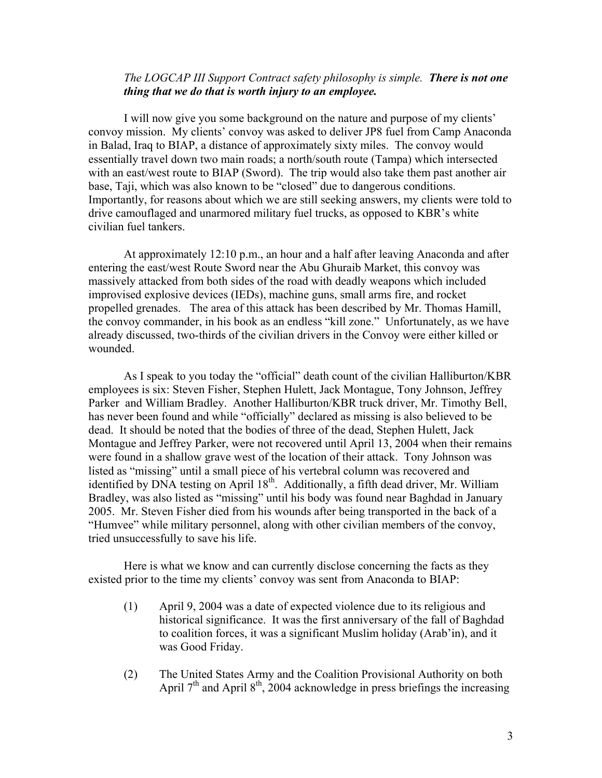## *The LOGCAP III Support Contract safety philosophy is simple. There is not one thing that we do that is worth injury to an employee.*

I will now give you some background on the nature and purpose of my clients' convoy mission. My clients' convoy was asked to deliver JP8 fuel from Camp Anaconda in Balad, Iraq to BIAP, a distance of approximately sixty miles. The convoy would essentially travel down two main roads; a north/south route (Tampa) which intersected with an east/west route to BIAP (Sword). The trip would also take them past another air base, Taji, which was also known to be "closed" due to dangerous conditions. Importantly, for reasons about which we are still seeking answers, my clients were told to drive camouflaged and unarmored military fuel trucks, as opposed to KBR's white civilian fuel tankers.

At approximately 12:10 p.m., an hour and a half after leaving Anaconda and after entering the east/west Route Sword near the Abu Ghuraib Market, this convoy was massively attacked from both sides of the road with deadly weapons which included improvised explosive devices (IEDs), machine guns, small arms fire, and rocket propelled grenades. The area of this attack has been described by Mr. Thomas Hamill, the convoy commander, in his book as an endless "kill zone." Unfortunately, as we have already discussed, two-thirds of the civilian drivers in the Convoy were either killed or wounded.

As I speak to you today the "official" death count of the civilian Halliburton/KBR employees is six: Steven Fisher, Stephen Hulett, Jack Montague, Tony Johnson, Jeffrey Parker and William Bradley. Another Halliburton/KBR truck driver, Mr. Timothy Bell, has never been found and while "officially" declared as missing is also believed to be dead. It should be noted that the bodies of three of the dead, Stephen Hulett, Jack Montague and Jeffrey Parker, were not recovered until April 13, 2004 when their remains were found in a shallow grave west of the location of their attack. Tony Johnson was listed as "missing" until a small piece of his vertebral column was recovered and identified by DNA testing on April  $18<sup>th</sup>$ . Additionally, a fifth dead driver, Mr. William Bradley, was also listed as "missing" until his body was found near Baghdad in January 2005. Mr. Steven Fisher died from his wounds after being transported in the back of a "Humvee" while military personnel, along with other civilian members of the convoy, tried unsuccessfully to save his life.

Here is what we know and can currently disclose concerning the facts as they existed prior to the time my clients' convoy was sent from Anaconda to BIAP:

- (1) April 9, 2004 was a date of expected violence due to its religious and historical significance. It was the first anniversary of the fall of Baghdad to coalition forces, it was a significant Muslim holiday (Arab'in), and it was Good Friday.
- (2) The United States Army and the Coalition Provisional Authority on both April  $7<sup>th</sup>$  and April  $8<sup>th</sup>$ , 2004 acknowledge in press briefings the increasing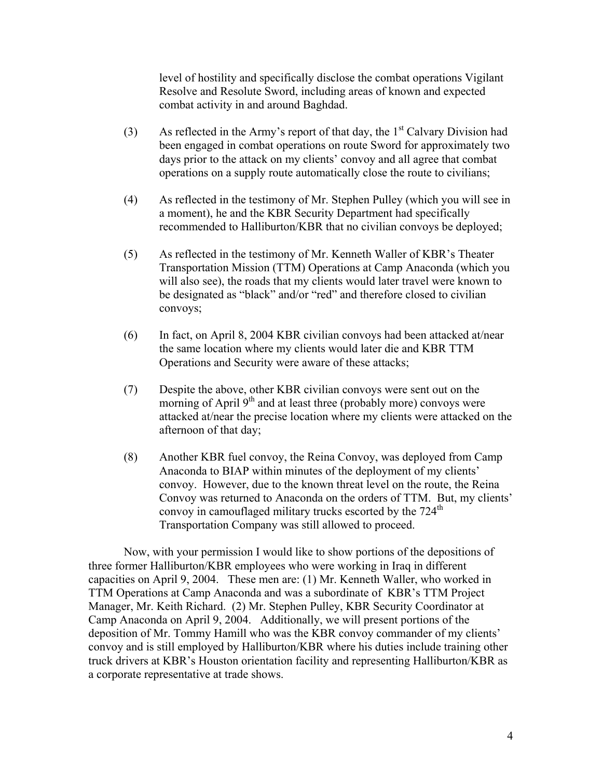level of hostility and specifically disclose the combat operations Vigilant Resolve and Resolute Sword, including areas of known and expected combat activity in and around Baghdad.

- (3) As reflected in the Army's report of that day, the  $1<sup>st</sup>$  Calvary Division had been engaged in combat operations on route Sword for approximately two days prior to the attack on my clients' convoy and all agree that combat operations on a supply route automatically close the route to civilians;
- (4) As reflected in the testimony of Mr. Stephen Pulley (which you will see in a moment), he and the KBR Security Department had specifically recommended to Halliburton/KBR that no civilian convoys be deployed;
- (5) As reflected in the testimony of Mr. Kenneth Waller of KBR's Theater Transportation Mission (TTM) Operations at Camp Anaconda (which you will also see), the roads that my clients would later travel were known to be designated as "black" and/or "red" and therefore closed to civilian convoys;
- (6) In fact, on April 8, 2004 KBR civilian convoys had been attacked at/near the same location where my clients would later die and KBR TTM Operations and Security were aware of these attacks;
- (7) Despite the above, other KBR civilian convoys were sent out on the morning of April  $9<sup>th</sup>$  and at least three (probably more) convoys were attacked at/near the precise location where my clients were attacked on the afternoon of that day;
- (8) Another KBR fuel convoy, the Reina Convoy, was deployed from Camp Anaconda to BIAP within minutes of the deployment of my clients' convoy. However, due to the known threat level on the route, the Reina Convoy was returned to Anaconda on the orders of TTM. But, my clients' convoy in camouflaged military trucks escorted by the 724<sup>th</sup> Transportation Company was still allowed to proceed.

Now, with your permission I would like to show portions of the depositions of three former Halliburton/KBR employees who were working in Iraq in different capacities on April 9, 2004. These men are: (1) Mr. Kenneth Waller, who worked in TTM Operations at Camp Anaconda and was a subordinate of KBR's TTM Project Manager, Mr. Keith Richard. (2) Mr. Stephen Pulley, KBR Security Coordinator at Camp Anaconda on April 9, 2004. Additionally, we will present portions of the deposition of Mr. Tommy Hamill who was the KBR convoy commander of my clients' convoy and is still employed by Halliburton/KBR where his duties include training other truck drivers at KBR's Houston orientation facility and representing Halliburton/KBR as a corporate representative at trade shows.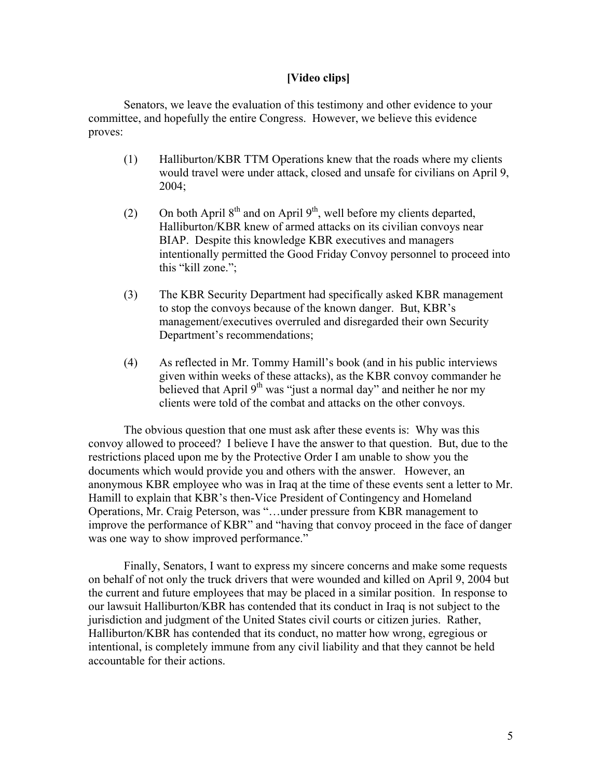## **[Video clips]**

Senators, we leave the evaluation of this testimony and other evidence to your committee, and hopefully the entire Congress. However, we believe this evidence proves:

- (1) Halliburton/KBR TTM Operations knew that the roads where my clients would travel were under attack, closed and unsafe for civilians on April 9, 2004;
- (2) On both April  $8<sup>th</sup>$  and on April  $9<sup>th</sup>$ , well before my clients departed, Halliburton/KBR knew of armed attacks on its civilian convoys near BIAP. Despite this knowledge KBR executives and managers intentionally permitted the Good Friday Convoy personnel to proceed into this "kill zone.";
- (3) The KBR Security Department had specifically asked KBR management to stop the convoys because of the known danger. But, KBR's management/executives overruled and disregarded their own Security Department's recommendations;
- (4) As reflected in Mr. Tommy Hamill's book (and in his public interviews given within weeks of these attacks), as the KBR convoy commander he believed that April  $9<sup>th</sup>$  was "just a normal day" and neither he nor my clients were told of the combat and attacks on the other convoys.

The obvious question that one must ask after these events is: Why was this convoy allowed to proceed? I believe I have the answer to that question. But, due to the restrictions placed upon me by the Protective Order I am unable to show you the documents which would provide you and others with the answer. However, an anonymous KBR employee who was in Iraq at the time of these events sent a letter to Mr. Hamill to explain that KBR's then-Vice President of Contingency and Homeland Operations, Mr. Craig Peterson, was "…under pressure from KBR management to improve the performance of KBR" and "having that convoy proceed in the face of danger was one way to show improved performance."

Finally, Senators, I want to express my sincere concerns and make some requests on behalf of not only the truck drivers that were wounded and killed on April 9, 2004 but the current and future employees that may be placed in a similar position. In response to our lawsuit Halliburton/KBR has contended that its conduct in Iraq is not subject to the jurisdiction and judgment of the United States civil courts or citizen juries. Rather, Halliburton/KBR has contended that its conduct, no matter how wrong, egregious or intentional, is completely immune from any civil liability and that they cannot be held accountable for their actions.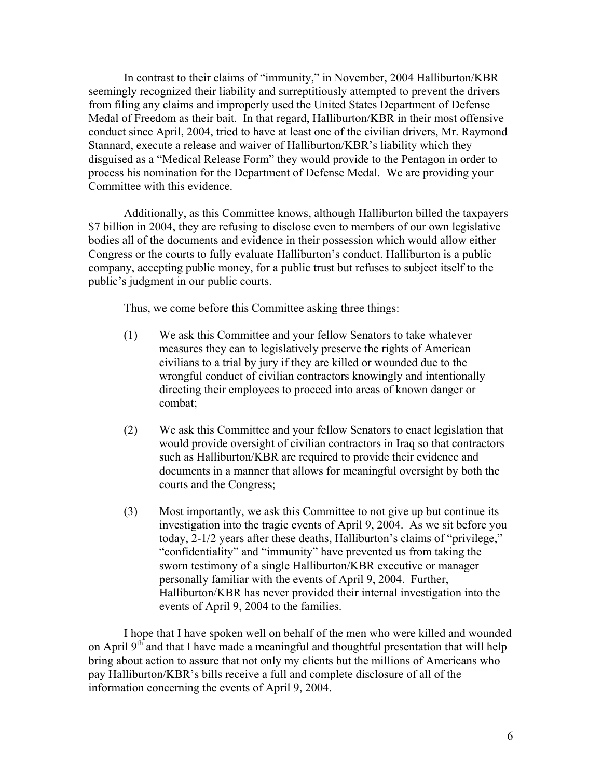In contrast to their claims of "immunity," in November, 2004 Halliburton/KBR seemingly recognized their liability and surreptitiously attempted to prevent the drivers from filing any claims and improperly used the United States Department of Defense Medal of Freedom as their bait. In that regard, Halliburton/KBR in their most offensive conduct since April, 2004, tried to have at least one of the civilian drivers, Mr. Raymond Stannard, execute a release and waiver of Halliburton/KBR's liability which they disguised as a "Medical Release Form" they would provide to the Pentagon in order to process his nomination for the Department of Defense Medal. We are providing your Committee with this evidence.

Additionally, as this Committee knows, although Halliburton billed the taxpayers \$7 billion in 2004, they are refusing to disclose even to members of our own legislative bodies all of the documents and evidence in their possession which would allow either Congress or the courts to fully evaluate Halliburton's conduct. Halliburton is a public company, accepting public money, for a public trust but refuses to subject itself to the public's judgment in our public courts.

Thus, we come before this Committee asking three things:

- (1) We ask this Committee and your fellow Senators to take whatever measures they can to legislatively preserve the rights of American civilians to a trial by jury if they are killed or wounded due to the wrongful conduct of civilian contractors knowingly and intentionally directing their employees to proceed into areas of known danger or combat;
- (2) We ask this Committee and your fellow Senators to enact legislation that would provide oversight of civilian contractors in Iraq so that contractors such as Halliburton/KBR are required to provide their evidence and documents in a manner that allows for meaningful oversight by both the courts and the Congress;
- (3) Most importantly, we ask this Committee to not give up but continue its investigation into the tragic events of April 9, 2004. As we sit before you today, 2-1/2 years after these deaths, Halliburton's claims of "privilege," "confidentiality" and "immunity" have prevented us from taking the sworn testimony of a single Halliburton/KBR executive or manager personally familiar with the events of April 9, 2004. Further, Halliburton/KBR has never provided their internal investigation into the events of April 9, 2004 to the families.

I hope that I have spoken well on behalf of the men who were killed and wounded on April  $9<sup>th</sup>$  and that I have made a meaningful and thoughtful presentation that will help bring about action to assure that not only my clients but the millions of Americans who pay Halliburton/KBR's bills receive a full and complete disclosure of all of the information concerning the events of April 9, 2004.